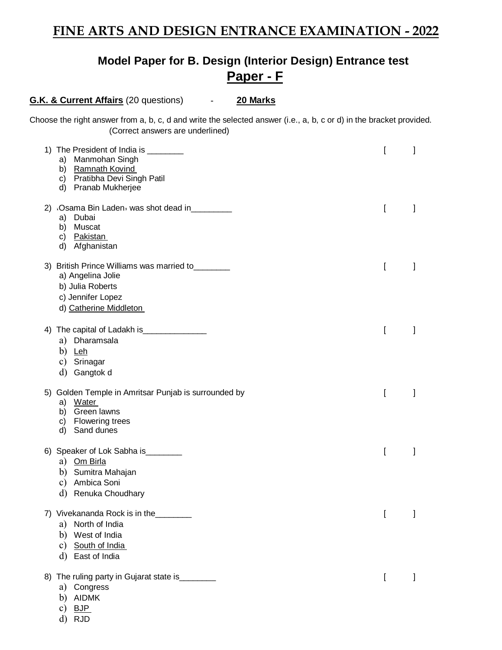# **Model Paper for B. Design (Interior Design) Entrance test Paper - F**

**G.K. & Current Affairs** (20 questions) - **20 Marks**

Choose the right answer from a, b, c, d and write the selected answer (i.e., a, b, c or d) in the bracket provided. (Correct answers are underlined)

| 1) The President of India is _________<br>a) Manmohan Singh<br>b) Ramnath Kovind<br>c) Pratibha Devi Singh Patil<br>d) Pranab Mukherjee      |   | 1            |
|----------------------------------------------------------------------------------------------------------------------------------------------|---|--------------|
| 2) Osama Bin Laden was shot dead in<br>a) Dubai<br>Muscat<br>b)<br>c) Pakistan<br>Afghanistan<br>d)                                          | ſ | I            |
| 3) British Prince Williams was married to<br>a) Angelina Jolie<br>b) Julia Roberts<br>c) Jennifer Lopez<br>d) Catherine Middleton            | I | I            |
| The capital of Ladakh is_<br>4)<br>a) Dharamsala<br>b) Leh<br>c) Srinagar<br>Gangtok d<br>d)                                                 | ſ | I            |
| 5) Golden Temple in Amritsar Punjab is surrounded by<br>Water<br>a)<br>Green lawns<br>b)<br><b>Flowering trees</b><br>C)<br>Sand dunes<br>d) | ſ |              |
| 6) Speaker of Lok Sabha is<br>a) Om Birla<br>b) Sumitra Mahajan<br>c) Ambica Soni<br>Renuka Choudhary<br>d)                                  | ſ | $\mathbf{I}$ |
| 7) Vivekananda Rock is in the<br>North of India<br>a)<br>West of India<br>b)<br>South of India<br>c)<br>d) East of India                     |   | l            |
| The ruling party in Gujarat state is ________<br>8)<br>a) Congress<br>b) AIDMK<br><b>BJP</b><br>c)<br>d)<br><b>RJD</b>                       | L | I            |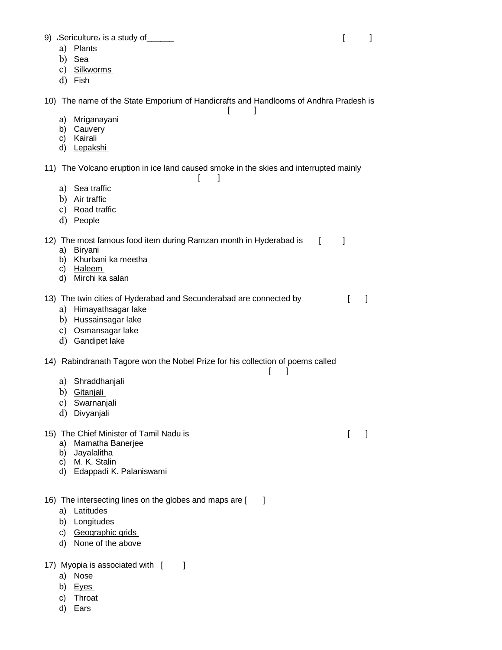9) Sericulture is a study of the contract of the series of the series of the series of the series of the series of the series of the series of the series of the series of the series of the series of the series of the serie

- a) Plants
- b) Sea
- c) Silkworms
- d) Fish

10) The name of the State Emporium of Handicrafts and Handlooms of Andhra Pradesh is

 $\lceil$   $\lceil$ 

- a) Mriganayani
- b) Cauvery
- c) Kairali
- d) Lepakshi

11) The Volcano eruption in ice land caused smoke in the skies and interrupted mainly  $\lceil$   $\rceil$ 

- a) Sea traffic
- b) Air traffic
- c) Road traffic
- d) People

12) The most famous food item during Ramzan month in Hyderabad is [ ]

- a) Biryani
- b) Khurbani ka meetha
- c) Haleem
- d) Mirchi ka salan

13) The twin cities of Hyderabad and Secunderabad are connected by [ ]

- a) Himayathsagar lake
- b) Hussainsagar lake
- c) Osmansagar lake
- d) Gandipet lake

### 14) Rabindranath Tagore won the Nobel Prize for his collection of poems called

 $\lceil$   $\lceil$ 

- a) Shraddhanjali
- b) Gitanjali
- c) Swarnanjali
- d) Divyanjali

### 15) The Chief Minister of Tamil Nadu is **Example 20** and the Chief Minister of Tamil Nadu is **a matter of Tamil Nadu**

- a) Mamatha Banerjee
- b) Jayalalitha
- c) M. K. Stalin
- d) Edappadi K. Palaniswami
- 16) The intersecting lines on the globes and maps are [ ]
	- a) Latitudes
	- b) Longitudes
	- c) Geographic grids
	- d) None of the above

### 17) Myopia is associated with  $\begin{bmatrix} 1 \end{bmatrix}$

- a) Nose
- b) Eyes
- c) Throat
- d) Ears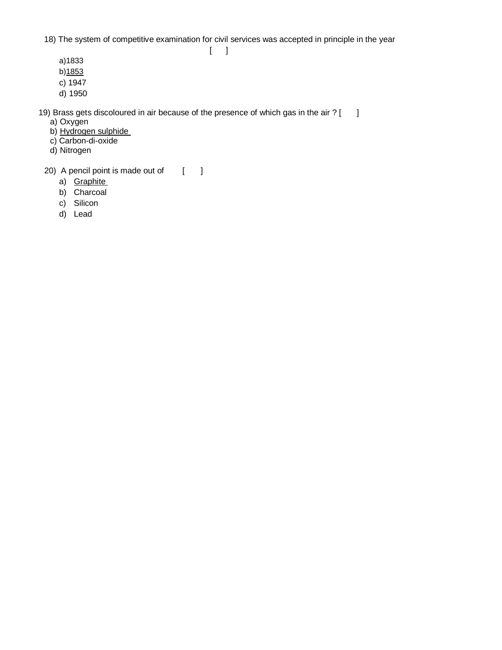18) The system of competitive examination for civil services was accepted in principle in the year  $[-]$ 

- a)1833
- b)1853
- c) 1947
- d) 1950

19) Brass gets discoloured in air because of the presence of which gas in the air ?  $\lceil \quad \rceil$ 

- a) Oxygen
- b) <u>Hydrogen sulphide</u>
- c) Carbon-di-oxide
- d) Nitrogen
- 20) A pencil point is made out of [ ]
	- a) Graphite
	- b) Charcoal
	- c) Silicon
	- d) Lead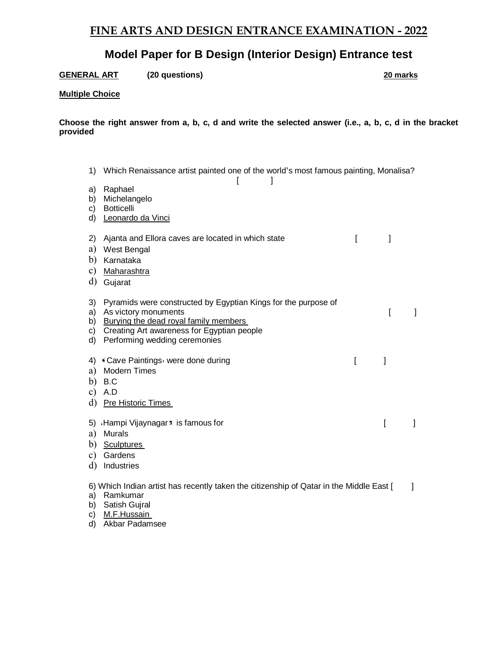# **Model Paper for B Design (Interior Design) Entrance test**

**GENERAL ART (20 questions) 20 marks**

### **Multiple Choice**

**Choose the right answer from a, b, c, d and write the selected answer (i.e., a, b, c, d in the bracket provided** 

1) Which Renaissance artist painted one of the world's most famous painting, Monalisa?  $\begin{bmatrix} 1 & 1 \end{bmatrix}$ a) Raphael b) Michelangelo c) Botticelli d) Leonardo da Vinci 2) Ajanta and Ellora caves are located in which state [  $\vert$ a) West Bengal b) Karnataka c) Maharashtra d) Gujarat 3) Pyramids were constructed by Egyptian Kings for the purpose of a) As victory monuments and the set of the set of the set of the set of the set of the set of the set of the set of the set of the set of the set of the set of the set of the set of the set of the set of the set of the set b) Burying the dead royal family members c) Creating Art awareness for Egyptian people d) Performing wedding ceremonies 4) Cave Paintings were done during  $[$ a) Modern Times b) B.C c) A.D d) Pre Historic Times 5) Hampi Vijaynagar 5 is famous for  $\begin{bmatrix} 1 & 1 \end{bmatrix}$ a) Murals b) Sculptures c) Gardens d) Industries 6) Which Indian artist has recently taken the citizenship of Qatar in the Middle East [ ] a) Ramkumar b) Satish Gujral c) M.F.Hussain d) Akbar Padamsee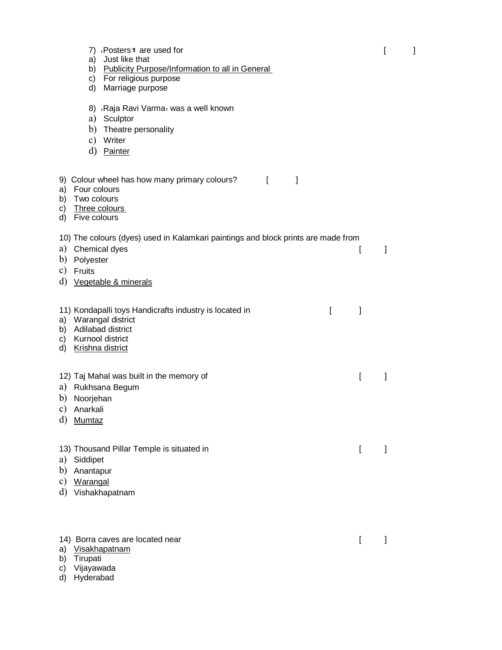|                      | 7) Posters: are used for<br>a) Just like that<br>b) Publicity Purpose/Information to all in General<br>c) For religious purpose<br>d) Marriage purpose                |   | ſ | 1 |
|----------------------|-----------------------------------------------------------------------------------------------------------------------------------------------------------------------|---|---|---|
|                      | 8) Raja Ravi Varma was a well known<br>a) Sculptor<br>b) Theatre personality<br>c) Writer<br>d) Painter                                                               |   |   |   |
|                      | 9) Colour wheel has how many primary colours?<br>$\mathbf{I}$<br>1<br>a) Four colours<br>b) Two colours<br>c) Three colours<br>d) Five colours                        |   |   |   |
| a)                   | 10) The colours (dyes) used in Kalamkari paintings and block prints are made from<br>Chemical dyes<br>b) Polyester<br>c) Fruits<br>d) <u>Vegetable &amp; minerals</u> | l | 1 |   |
|                      | 11) Kondapalli toys Handicrafts industry is located in<br>ſ<br>a) Warangal district<br>b) Adilabad district<br>c) Kurnool district<br>d) Krishna district             | 1 |   |   |
| d)                   | 12) Taj Mahal was built in the memory of<br>a) Rukhsana Begum<br>b) Noorjehan<br>c) Anarkali<br>Mumtaz                                                                | ſ | I |   |
| a)<br>b)<br>c)       | 13) Thousand Pillar Temple is situated in<br>Siddipet<br>Anantapur<br><b>Warangal</b><br>d) Vishakhapatnam                                                            | ſ | I |   |
| a)<br>b)<br>C)<br>d) | 14) Borra caves are located near<br>Visakhapatnam<br>Tirupati<br>Vijayawada<br>Hyderabad                                                                              | ſ |   |   |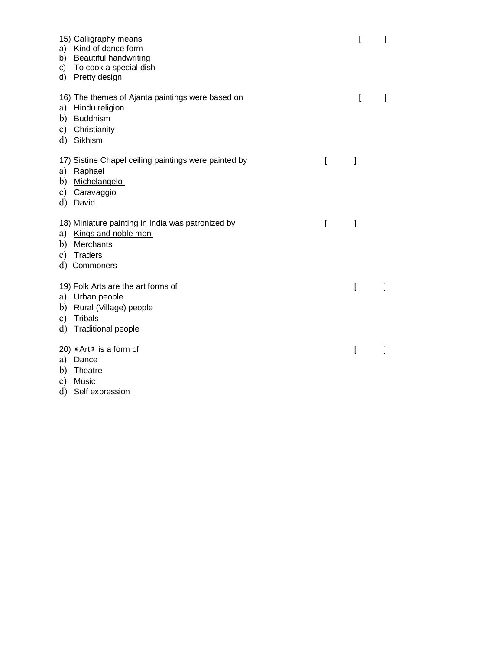| 15) Calligraphy means<br>Kind of dance form<br>a)<br><b>Beautiful handwriting</b><br>b)<br>To cook a special dish<br>C)<br>Pretty design<br>d)   |   | ſ | 1 |
|--------------------------------------------------------------------------------------------------------------------------------------------------|---|---|---|
| 16) The themes of Ajanta paintings were based on<br>Hindu religion<br>a)<br><b>Buddhism</b><br>b)<br>Christianity<br>c)<br>d)<br>Sikhism         |   | ſ |   |
| 17) Sistine Chapel ceiling paintings were painted by<br>Raphael<br>a)<br>Michelangelo<br>b)<br>Caravaggio<br>c)<br>d)<br>David                   | ſ | l |   |
| 18) Miniature painting in India was patronized by<br>Kings and noble men<br>a)<br>Merchants<br>b)<br><b>Traders</b><br>c)<br>d)<br>Commoners     | ſ | 1 |   |
| 19) Folk Arts are the art forms of<br>a) Urban people<br>Rural (Village) people<br>b)<br><b>Tribals</b><br>c)<br><b>Traditional people</b><br>d) |   | ſ |   |
| 20) $\star$ Art $\overline{\phantom{a}}$ is a form of<br>a)<br>Dance<br>Theatre<br>b)<br>Music<br>c)<br>d)<br>Self expression                    |   | ſ |   |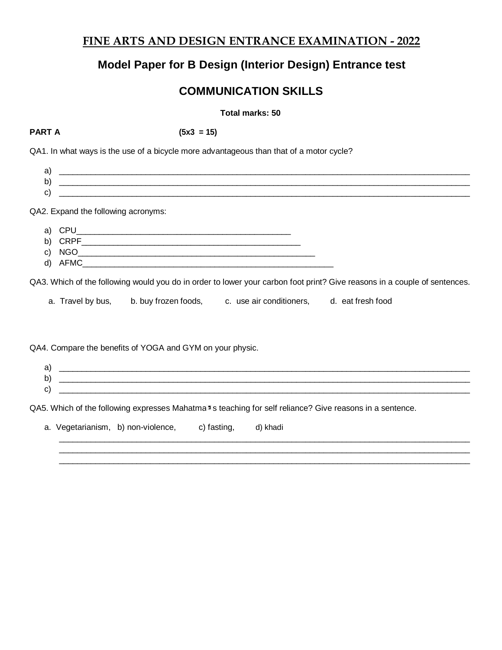# **Model Paper for B Design (Interior Design) Entrance test**

# **COMMUNICATION SKILLS**

### **Total marks: 50**

**PART A (5x3 = 15)**

QA1. In what ways is the use of a bicycle more advantageous than that of a motor cycle?

a) \_\_\_\_\_\_\_\_\_\_\_\_\_\_\_\_\_\_\_\_\_\_\_\_\_\_\_\_\_\_\_\_\_\_\_\_\_\_\_\_\_\_\_\_\_\_\_\_\_\_\_\_\_\_\_\_\_\_\_\_\_\_\_\_\_\_\_\_\_\_\_\_\_\_\_\_\_\_\_\_\_\_\_\_\_\_\_\_\_\_ b) \_\_\_\_\_\_\_\_\_\_\_\_\_\_\_\_\_\_\_\_\_\_\_\_\_\_\_\_\_\_\_\_\_\_\_\_\_\_\_\_\_\_\_\_\_\_\_\_\_\_\_\_\_\_\_\_\_\_\_\_\_\_\_\_\_\_\_\_\_\_\_\_\_\_\_\_\_\_\_\_\_\_\_\_\_\_\_\_\_\_  $c)$ 

QA2. Expand the following acronyms:

- a) CPU
- b) CRPF\_\_\_\_\_\_\_\_\_\_\_\_\_\_\_\_\_\_\_\_\_\_\_\_\_\_\_\_\_\_\_\_\_\_\_\_\_\_\_\_\_\_\_\_\_\_\_\_
- c) NGO
- d) AFMC

QA3. Which of the following would you do in order to lower your carbon foot print? Give reasons in a couple of sentences.

a. Travel by bus, b. buy frozen foods, c. use air conditioners, d. eat fresh food

QA4. Compare the benefits of YOGA and GYM on your physic.

a) \_\_\_\_\_\_\_\_\_\_\_\_\_\_\_\_\_\_\_\_\_\_\_\_\_\_\_\_\_\_\_\_\_\_\_\_\_\_\_\_\_\_\_\_\_\_\_\_\_\_\_\_\_\_\_\_\_\_\_\_\_\_\_\_\_\_\_\_\_\_\_\_\_\_\_\_\_\_\_\_\_\_\_\_\_\_\_\_\_\_ b) \_\_\_\_\_\_\_\_\_\_\_\_\_\_\_\_\_\_\_\_\_\_\_\_\_\_\_\_\_\_\_\_\_\_\_\_\_\_\_\_\_\_\_\_\_\_\_\_\_\_\_\_\_\_\_\_\_\_\_\_\_\_\_\_\_\_\_\_\_\_\_\_\_\_\_\_\_\_\_\_\_\_\_\_\_\_\_\_\_\_  $\mathbf{c})$ 

QA5. Which of the following expresses Mahatma<sup>3</sup>s teaching for self reliance? Give reasons in a sentence.

|  | a. Vegetarianism, b) non-violence, c) fasting, d) khadi |  |
|--|---------------------------------------------------------|--|
|  |                                                         |  |

 $\_$  ,  $\_$  ,  $\_$  ,  $\_$  ,  $\_$  ,  $\_$  ,  $\_$  ,  $\_$  ,  $\_$  ,  $\_$  ,  $\_$  ,  $\_$  ,  $\_$  ,  $\_$  ,  $\_$  ,  $\_$  ,  $\_$  ,  $\_$  ,  $\_$  ,  $\_$  ,  $\_$  ,  $\_$  ,  $\_$  ,  $\_$  ,  $\_$  ,  $\_$  ,  $\_$  ,  $\_$  ,  $\_$  ,  $\_$  ,  $\_$  ,  $\_$  ,  $\_$  ,  $\_$  ,  $\_$  ,  $\_$  ,  $\_$  ,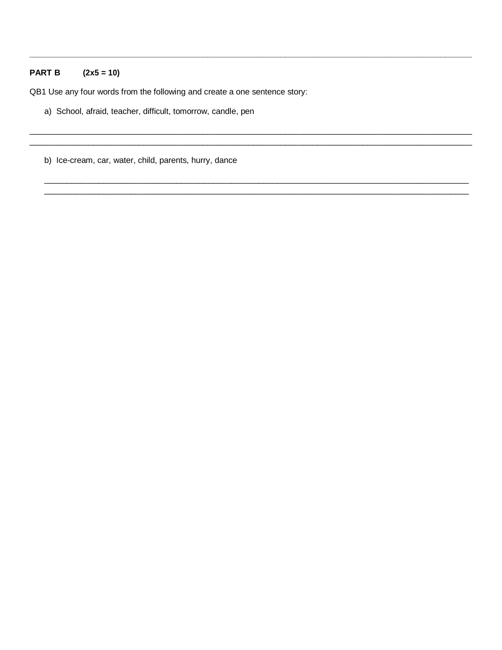### $(2x5 = 10)$ **PART B**

QB1 Use any four words from the following and create a one sentence story:

- a) School, afraid, teacher, difficult, tomorrow, candle, pen
- b) Ice-cream, car, water, child, parents, hurry, dance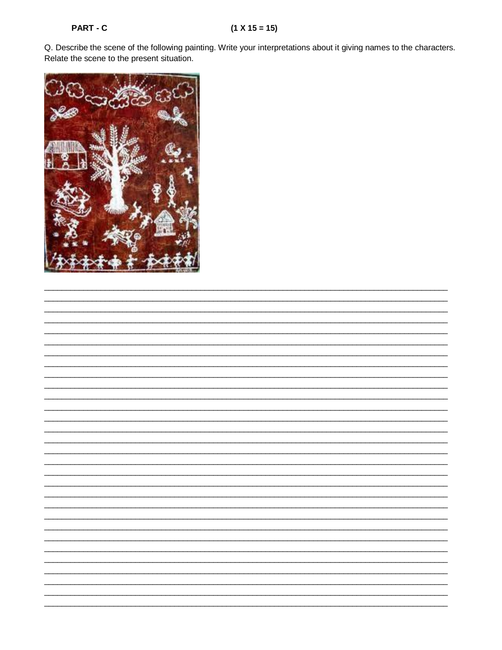Q. Describe the scene of the following painting. Write your interpretations about it giving names to the characters. Relate the scene to the present situation.

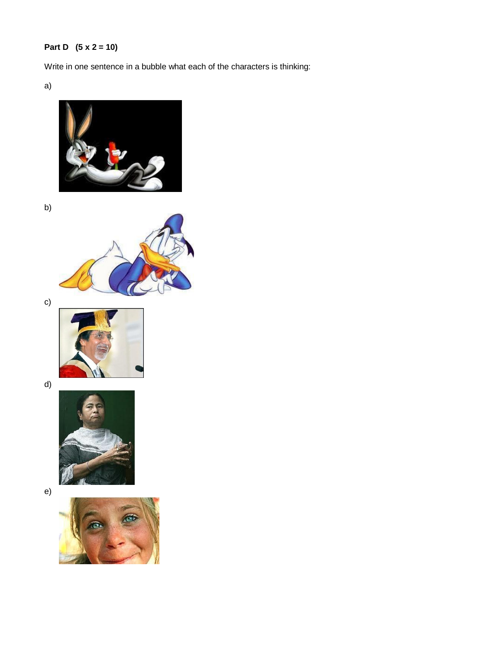# **Part D (5 x 2 = 10)**

Write in one sentence in a bubble what each of the characters is thinking:

a)



b)



c)



d)



e)

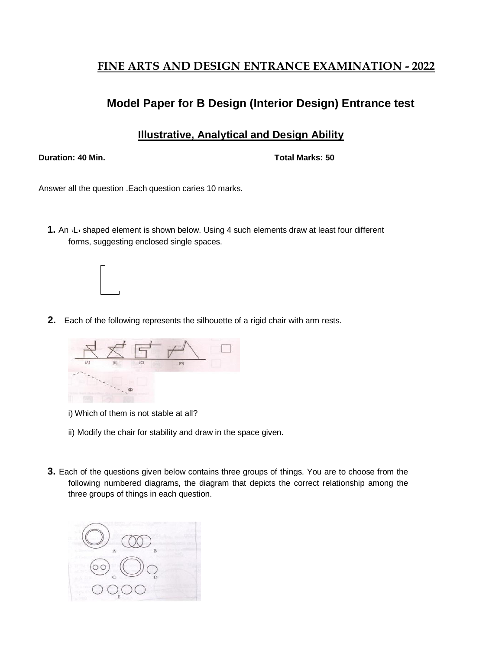# **Model Paper for B Design (Interior Design) Entrance test**

## **Illustrative, Analytical and Design Ability**

**Duration: 40 Min. Total Marks: 50**

Answer all the question .Each question caries 10 marks.

**1.** An L<sub>i</sub> shaped element is shown below. Using 4 such elements draw at least four different forms, suggesting enclosed single spaces.



**2.** Each of the following represents the silhouette of a rigid chair with arm rests.



i) Which of them is not stable at all?

- ii) Modify the chair for stability and draw in the space given.
- **3.** Each of the questions given below contains three groups of things. You are to choose from the following numbered diagrams, the diagram that depicts the correct relationship among the three groups of things in each question.

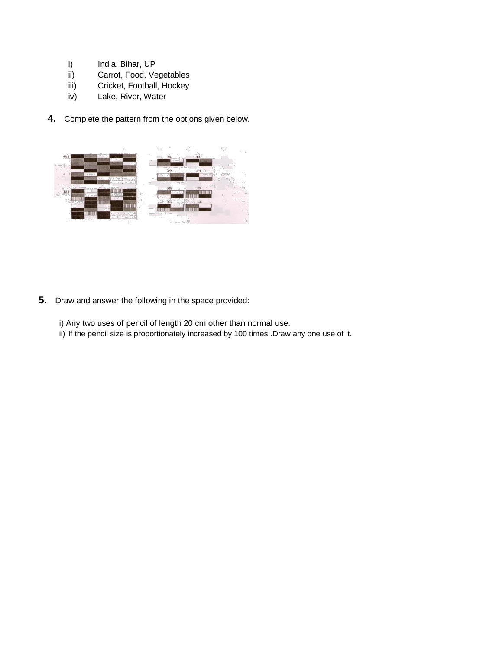- i) India, Bihar, UP
- ii) Carrot, Food, Vegetables
- iii) Cricket, Football, Hockey
- iv) Lake, River, Water
- **4.** Complete the pattern from the options given below.



**5.** Draw and answer the following in the space provided:

i) Any two uses of pencil of length 20 cm other than normal use.

ii) If the pencil size is proportionately increased by 100 times .Draw any one use of it.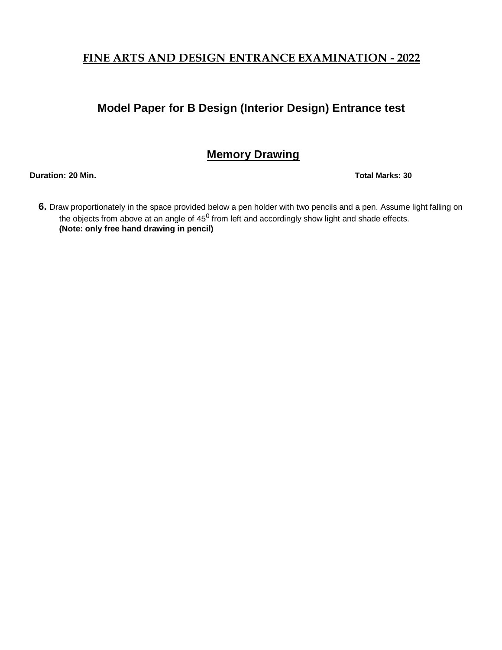# **Model Paper for B Design (Interior Design) Entrance test**

# **Memory Drawing**

**Duration: 20 Min. Total Marks: 30**

**6.** Draw proportionately in the space provided below a pen holder with two pencils and a pen. Assume light falling on the objects from above at an angle of 45 $^0$  from left and accordingly show light and shade effects. **(Note: only free hand drawing in pencil)**